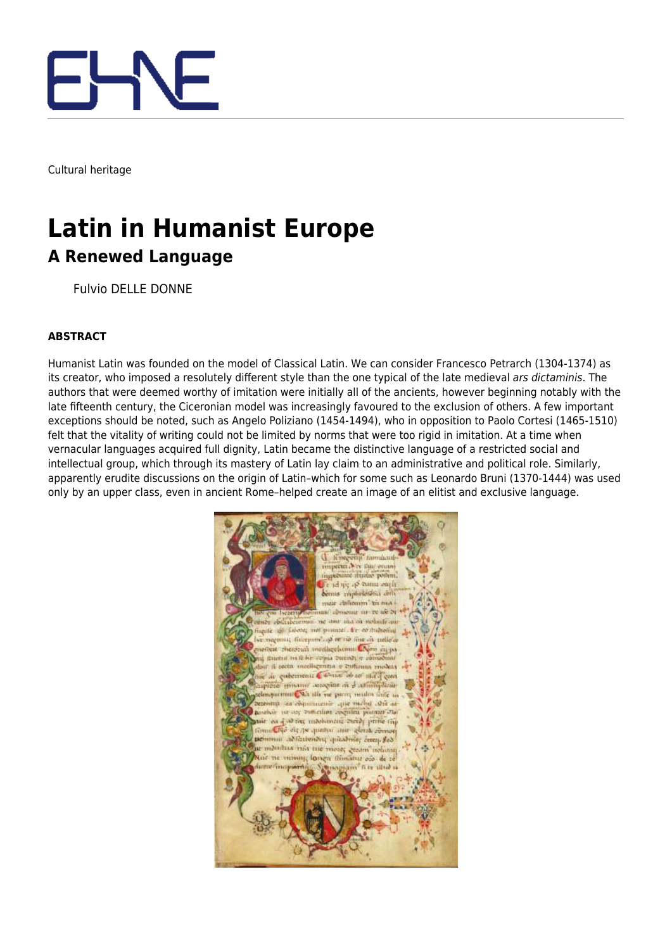

Cultural heritage

## **Latin in Humanist Europe A Renewed Language**

Fulvio DELLE DONNE

## **ABSTRACT**

Humanist Latin was founded on the model of Classical Latin. We can consider Francesco Petrarch (1304-1374) as its creator, who imposed a resolutely different style than the one typical of the late medieval ars dictaminis. The authors that were deemed worthy of imitation were initially all of the ancients, however beginning notably with the late fifteenth century, the Ciceronian model was increasingly favoured to the exclusion of others. A few important exceptions should be noted, such as Angelo Poliziano (1454-1494), who in opposition to Paolo Cortesi (1465-1510) felt that the vitality of writing could not be limited by norms that were too rigid in imitation. At a time when vernacular languages acquired full dignity, Latin became the distinctive language of a restricted social and intellectual group, which through its mastery of Latin lay claim to an administrative and political role. Similarly, apparently erudite discussions on the origin of Latin–which for some such as Leonardo Bruni (1370-1444) was used only by an upper class, even in ancient Rome–helped create an image of an elitist and exclusive language.

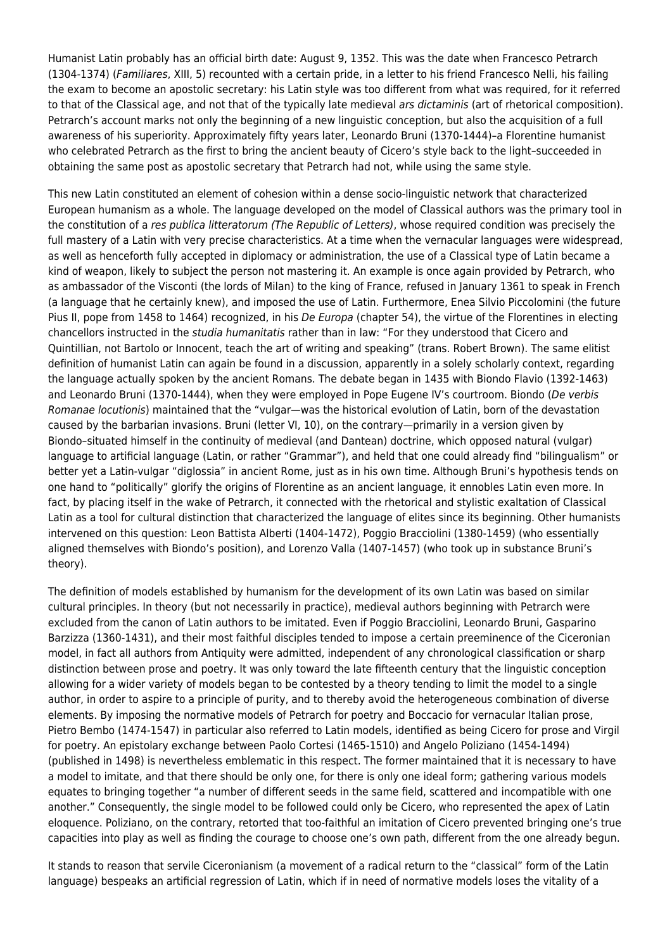Humanist Latin probably has an official birth date: August 9, 1352. This was the date when Francesco Petrarch (1304-1374) (Familiares, XIII, 5) recounted with a certain pride, in a letter to his friend Francesco Nelli, his failing the exam to become an apostolic secretary: his Latin style was too different from what was required, for it referred to that of the Classical age, and not that of the typically late medieval ars dictaminis (art of rhetorical composition). Petrarch's account marks not only the beginning of a new linguistic conception, but also the acquisition of a full awareness of his superiority. Approximately fifty years later, Leonardo Bruni (1370-1444)–a Florentine humanist who celebrated Petrarch as the first to bring the ancient beauty of Cicero's style back to the light–succeeded in obtaining the same post as apostolic secretary that Petrarch had not, while using the same style.

This new Latin constituted an element of cohesion within a dense socio-linguistic network that characterized European humanism as a whole. The language developed on the model of Classical authors was the primary tool in the constitution of a res publica litteratorum (The Republic of Letters), whose required condition was precisely the full mastery of a Latin with very precise characteristics. At a time when the vernacular languages were widespread, as well as henceforth fully accepted in diplomacy or administration, the use of a Classical type of Latin became a kind of weapon, likely to subject the person not mastering it. An example is once again provided by Petrarch, who as ambassador of the Visconti (the lords of Milan) to the king of France, refused in January 1361 to speak in French (a language that he certainly knew), and imposed the use of Latin. Furthermore, Enea Silvio Piccolomini (the future Pius II, pope from 1458 to 1464) recognized, in his De Europa (chapter 54), the virtue of the Florentines in electing chancellors instructed in the studia humanitatis rather than in law: "For they understood that Cicero and Quintillian, not Bartolo or Innocent, teach the art of writing and speaking" (trans. Robert Brown). The same elitist definition of humanist Latin can again be found in a discussion, apparently in a solely scholarly context, regarding the language actually spoken by the ancient Romans. The debate began in 1435 with Biondo Flavio (1392-1463) and Leonardo Bruni (1370-1444), when they were employed in Pope Eugene IV's courtroom. Biondo (De verbis Romanae locutionis) maintained that the "vulgar—was the historical evolution of Latin, born of the devastation caused by the barbarian invasions. Bruni (letter VI, 10), on the contrary—primarily in a version given by Biondo–situated himself in the continuity of medieval (and Dantean) doctrine, which opposed natural (vulgar) language to artificial language (Latin, or rather "Grammar"), and held that one could already find "bilingualism" or better yet a Latin-vulgar "diglossia" in ancient Rome, just as in his own time. Although Bruni's hypothesis tends on one hand to "politically" glorify the origins of Florentine as an ancient language, it ennobles Latin even more. In fact, by placing itself in the wake of Petrarch, it connected with the rhetorical and stylistic exaltation of Classical Latin as a tool for cultural distinction that characterized the language of elites since its beginning. Other humanists intervened on this question: Leon Battista Alberti (1404-1472), Poggio Bracciolini (1380-1459) (who essentially aligned themselves with Biondo's position), and Lorenzo Valla (1407-1457) (who took up in substance Bruni's theory).

The definition of models established by humanism for the development of its own Latin was based on similar cultural principles. In theory (but not necessarily in practice), medieval authors beginning with Petrarch were excluded from the canon of Latin authors to be imitated. Even if Poggio Bracciolini, Leonardo Bruni, Gasparino Barzizza (1360-1431), and their most faithful disciples tended to impose a certain preeminence of the Ciceronian model, in fact all authors from Antiquity were admitted, independent of any chronological classification or sharp distinction between prose and poetry. It was only toward the late fifteenth century that the linguistic conception allowing for a wider variety of models began to be contested by a theory tending to limit the model to a single author, in order to aspire to a principle of purity, and to thereby avoid the heterogeneous combination of diverse elements. By imposing the normative models of Petrarch for poetry and Boccacio for vernacular Italian prose, Pietro Bembo (1474-1547) in particular also referred to Latin models, identified as being Cicero for prose and Virgil for poetry. An epistolary exchange between Paolo Cortesi (1465-1510) and Angelo Poliziano (1454-1494) (published in 1498) is nevertheless emblematic in this respect. The former maintained that it is necessary to have a model to imitate, and that there should be only one, for there is only one ideal form; gathering various models equates to bringing together "a number of different seeds in the same field, scattered and incompatible with one another." Consequently, the single model to be followed could only be Cicero, who represented the apex of Latin eloquence. Poliziano, on the contrary, retorted that too-faithful an imitation of Cicero prevented bringing one's true capacities into play as well as finding the courage to choose one's own path, different from the one already begun.

It stands to reason that servile Ciceronianism (a movement of a radical return to the "classical" form of the Latin language) bespeaks an artificial regression of Latin, which if in need of normative models loses the vitality of a